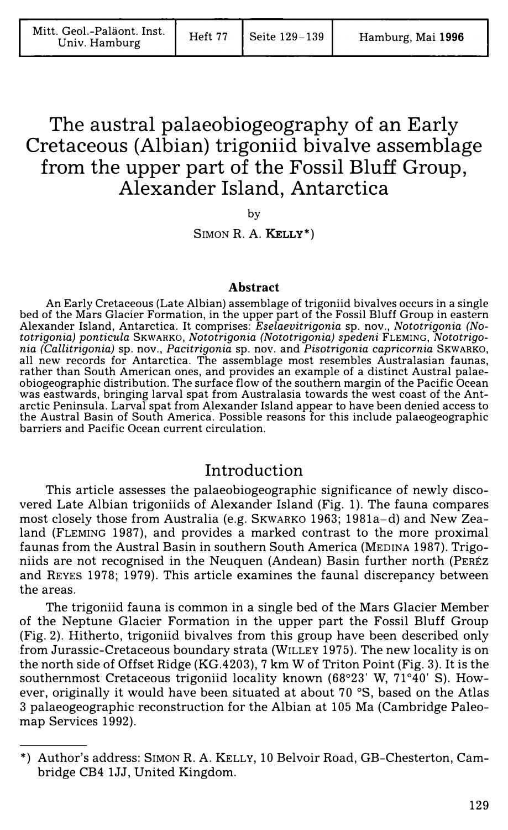# The austral palaeobiogeography of an Early Cretaceous (Albian) trigoniid bivalve assemblage from the upper part of the Fossil Bluff Group, Alexander Island, Antarctica

by

SIMON R. A. KELLY\*)

#### **Abstract**

An Early Cretaceous (Late Albian) assemblage of trigoniid bivalves occurs in a single bed of the Mars Glacier Formation, in the upper part of the Fossil Bluff Group in eastern Alexander Island, Antarctica. It comprises: *Eselaevitrigonia* sp. nov., *Nototrigonia (Nototrigonia) ponticula* SKWARK0, *Nototrigonia (Nototrigonia) spedeni* FLEMING, *Nototrigonia (Callitrigonia)* sp. nov., *Pacitrigonia* sp. nov. and *Pisotrigonia capricornia* SKWARKO, all new records for Antarctica. The assemblage most resembles Australasian faunas, rather than South American ones, and provides an example of a distinct Austral palaeobiogeographic distribution. The surface flow of the southern margin of the Pacific Ocean was eastwards, bringing larval spat from Australasia towards the west coast of the Antarctic Peninsula. Larval spat from A\_lexander Island appear to have been denied access to the Austral Basin of South America. Possible reasons for this include palaeogeographic barriers and Pacific Ocean current circulation.

#### Introduction

This article assesses the palaeobiogeographic significance of newly discovered Late Albian trigoniids of Alexander Island (Fig. 1). The fauna compares most closely those from Australia (e.g. SKWARKO 1963; 1981a-d) and New Zealand (FLEMING 1987), and provides a marked contrast to the more proximal faunas from the Austral Basin in southern South America (MEDINA 1987). Trigoniids are not recognised in the Neuquen (Andean) Basin further north (PEREZ and REYES 1978; 1979). This article examines the faunal discrepancy between the areas.

The trigoniid fauna is common in a single bed of the Mars Glacier Member of the Neptune Glacier Formation in the upper part the Fossil Bluff Group (Fig. 2). Hitherto, trigoniid bivalves from this group have been described only from Jurassic-Cretaceous boundary strata (WILLEY 1975). The new locality is on the north side of Offset Ridge (KG.4203), 7 km W of Triton Point (Fig. 3). It is the southernmost Cretaceous trigoniid locality known (68°23' W, 71°40' S). However, originally it would have been situated at about 70 °S, based on the Atlas 3 palaeogeographic reconstruction for the Albian at 105 Ma (Cambridge Paleomap Services 1992).

<sup>\*)</sup> Author's address: SIMON R. A. KELLY, 10 Belvoir Road, GB-Chesterton, Cambridge CB4 lJJ, United Kingdom.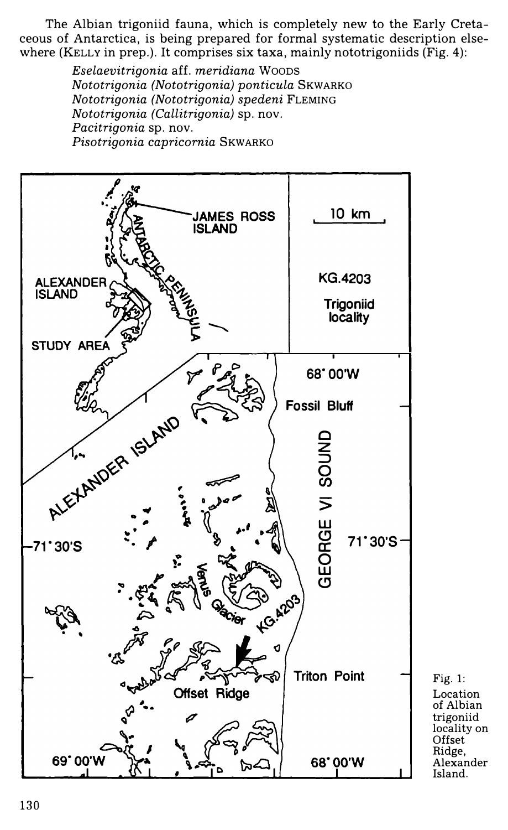The Albian trigoniid fauna, which is completely new to the Early Cretaceous of Antarctica, is being prepared for formal systematic description elsewhere (KELLY in prep.). It comprises six taxa, mainly nototrigoniids (Fig. 4):

> *Eselaevitrigonia* aff. *meridiana* Woons *Nototrigonia (Nototrigonia) ponticula* SKWARKO *Nototrigonia (Nototrigonia) spedeni* FLEMING *Nototrigonia (Callitrigonia)* sp. nov. *Pacitrigonia* sp. nov. *Pisotrigonia capricornia* SKWARKO



Location of Albian trigoniid locality on **Offset** Ridge, Alexander Island.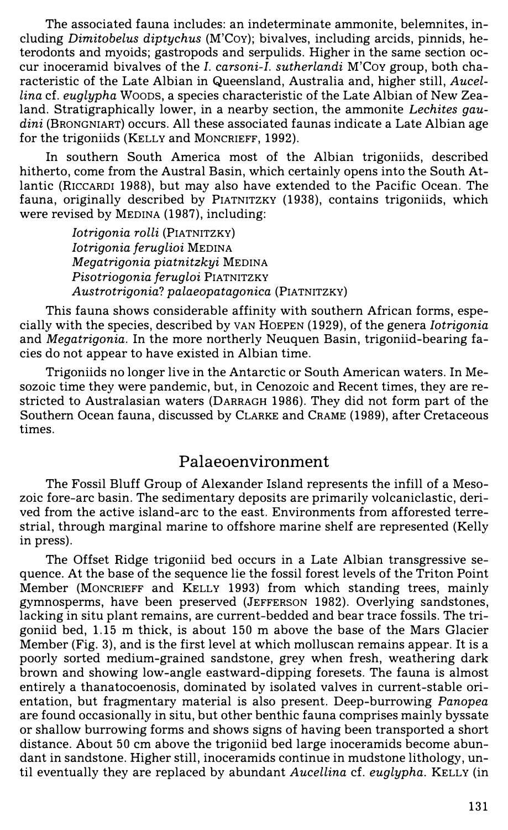The associated fauna includes: an indeterminate ammonite, belemnites, including *Dimitobelus diptychus* (M'CoY); bivalves, including arcids, pinnids, heterodonts and myoids; gastropods and serpulids. Higher in the same section occur inoceramid bivalves of the *1. carsoni-1. sutherlandi* M'Coy group, both characteristic of the Late Albian in Queensland, Australia and, higher still, *Aucellina* cf. *euglypha* Woons, a species characteristic of the Late Albian of New Zealand. Stratigraphically lower, in a nearby section, the ammonite *Lechites gaudini* (BRONGNIART) occurs. All these associated faunas indicate a Late Albian age for the trigoniids (KELLY and MONCRIEFF, 1992).

In southern South America most of the Albian trigoniids, described hitherto, come from the Austral Basin, which certainly opens into the South Atlantic (RICCARDI 1988), but may also have extended to the Pacific Ocean. The fauna, originally described by PIATNITZKY (1938), contains trigoniids, which were revised by MEDINA (1987), including:

> *Iotrigonia rolli* (PIATNITZKY) *Iotrigonia feruglioi* MEDINA *Megatrigonia piatnitzkyi* MEDINA *Pisotriogonia ferugloi* PIATNITZKY *Austrotrigonia? palaeopatagonica* (PIATNITZKY)

This fauna shows considerable affinity with southern African forms, especially with the species, described by VAN HoEPEN (1929), of the genera *Iotrigonia*  and *Megatrigonia.* In the more northerly Neuquen Basin, trigoniid-bearing facies do not appear to have existed in Albian time.

Trigoniids no longer live in the Antarctic or South American waters. In Mesozoic time they were pandemic, but, in Cenozoic and Recent times, they are restricted to Australasian waters (DARRAGH 1986). They did not form part of the Southern Ocean fauna, discussed by CLARKE and CRAME (1989), after Cretaceous times.

#### Palaeoenvironment

The Fossil Bluff Group of Alexander Island represents the infill of a Mesozoic fore-arc basin. The sedimentary deposits are primarily volcaniclastic, derived from the active island-arc to the east. Environments from afforested terrestrial, through marginal marine to offshore marine shelf are represented (Kelly in press).

The Offset Ridge trigoniid bed occurs in a Late Albian transgressive sequence. At the base of the sequence lie the fossil forest levels of the Triton Point Member (MONCRIEFF and KELLY 1993) from which standing trees, mainly gymnosperms, have been preserved (JEFFERSON 1982). Overlying sandstones, lacking in situ plant remains, are current-bedded and bear trace fossils. The trigoniid bed, 1.15 m thick, is about 150 m above the base of the Mars Glacier Member (Fig. 3), and is the first level at which molluscan remains appear. It is a poorly sorted medium-grained sandstone, grey when fresh, weathering dark brown and showing low-angle eastward-dipping foresets. The fauna is almost entirely a thanatocoenosis, dominated by isolated valves in current-stable orientation, but fragmentary material is also present. Deep-burrowing *Panopea*  are found occasionally in situ, but other benthic fauna comprises mainly byssate or shallow burrowing forms and shows signs of having been transported a short distance. About 50 cm above the trigoniid bed large inoceramids become abundant in sandstone. Higher still, inoceramids continue in mudstone lithology, until eventually they are replaced by abundant *Aucellina* cf. *euglypha.* KELLY (in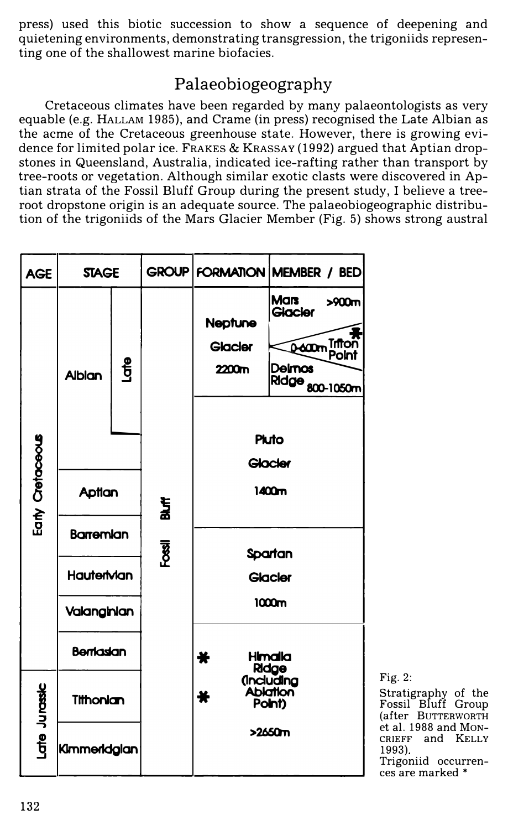press) used this biotic succession to show a sequence of deepening and quietening environments, demonstrating transgression, the trigoniids representing one of the shallowest marine biofacies.

# **Palaeobiogeography**

Cretaceous climates have been regarded by many palaeontologists as very equable (e.g. HALLAM 1985), and Crame (in press) recognised the Late Albian as the acme of the Cretaceous greenhouse state. However, there is growing evidence for limited polar ice. FRAKES & KRASSAY (1992) argued that Aptian dropstones in Queensland, Australia, indicated ice-rafting rather than transport by tree-roots or vegetation. Although similar exotic clasts were discovered in Aptian strata of the Fossil Bluff Group during the present study, I believe a treeroot dropstone origin is an adequate source. The palaeobiogeographic distribution of the trigoniids of the Mars Glacier Member (Fig. 5) shows strong austral



Fig. 2: Stratigraphy of the Fossil Bluff Group (after BUTTERWORTH et al. 1988 and MON-CRIEFF and KELLY 1993) Trigoniid occurrences are marked \*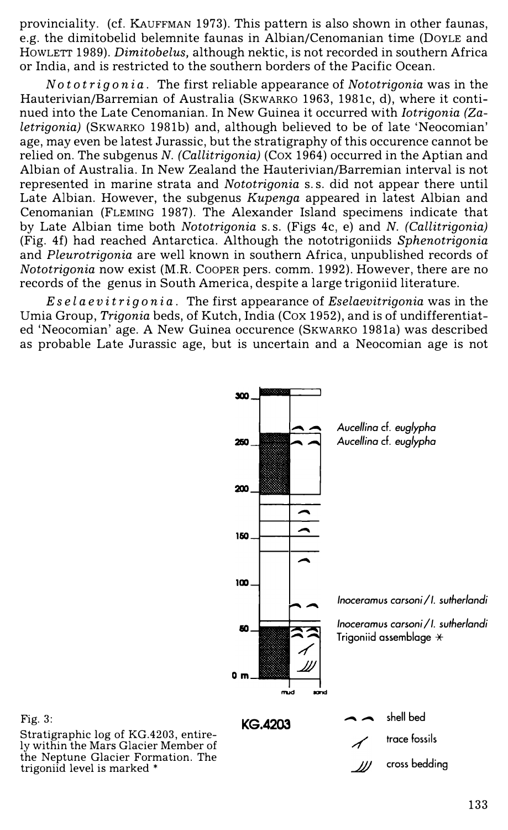provinciality. (cf. KAUFFMAN 1973). This pattern is also shown in other faunas, e.g. the dimitobelid belemnite faunas in Albian/Cenomanian time (DOYLE and HOWLETT 1989). *Dimitobelus,* although nektic, is not recorded in southern Africa or India, and is restricted to the southern borders of the Pacific Ocean.

*Noto trig on* i *a.* The first reliable appearance of *Nototrigonia* was in the Hauterivian/Barremian of Australia (SKWARKO 1963, 1981c, d), where it continued into the Late Cenomanian. In New Guinea it occurred with *Iotrigonia (Zaletrigonia)* (SKWARKO 1981b) and, although believed to be of late 'Neocomian' age, may even be latest Jurassic, but the stratigraphy of this occurence cannot be relied on. The subgenus *N. (Callitrigonia)* (Cox 1964) occurred in the Aptian and Albian of Australia. In New Zealand the Hauterivian/Barremian interval is not represented in marine strata and *Nototrigonia* s. s. did not appear there until Late Albian. However, the subgenus *Kupenga* appeared in latest Albian and Cenomanian (FLEMING 1987). The Alexander Island specimens indicate that by Late Albian time both *Nototrigonia* s. s. (Figs 4c, e) and *N. (Callitrigonia)*  (Fig. 4f) had reached Antarctica. Although the nototrigoniids *Sphenotrigonia*  and *Pleurotrigonia* are well known in southern Africa, unpublished records of *Nototrigonia* now exist (M.R. COOPER pers. comm. 1992). However, there are no records of the genus in South America, despite a large trigoniid literature.

*Es e la e v it rig on* i *a.* The first appearance of *Eselaevitrigonia* was in the Umia Group, *Trigonia* beds, of Kutch, India (Cox 1952), and is of undifferentiated 'Neocomian' age. A New Guinea occurence (SKWARKO 1981a) was described as probable Late Jurassic age, but is uncertain and a Neocomian age is not



Fig. 3:

Stratigraphic log of KG.4203, entirely within the Mars Glacier Member of the Neptune Glacier Formation. The trigoniid level is marked \*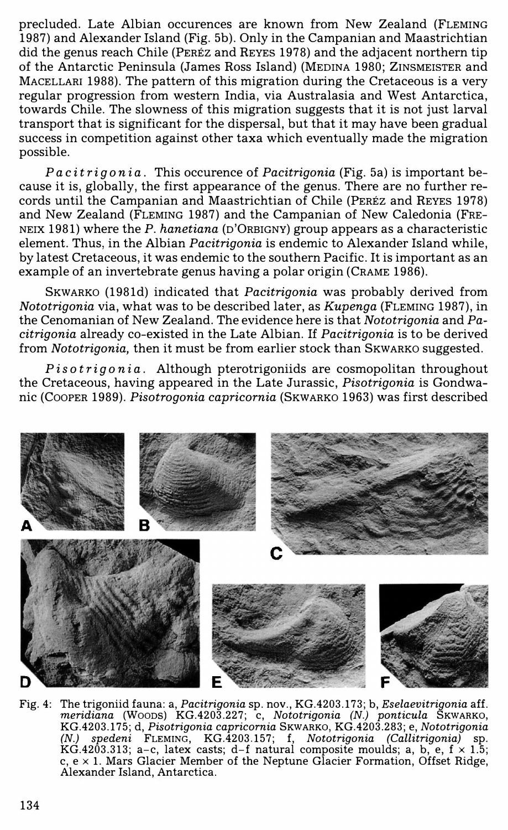precluded. Late Albian occurences are known from New Zealand (FLEMING 1987) and Alexander Island (Fig. 5b). Only in the Campanian and Maastrichtian did the genus reach Chile (PEREZ and REYES 1978) and the adjacent northern tip of the Antarctic Peninsula (James Ross Island) (MEDINA 1980; ZINSMEISTER and MACELLARI 1988). The pattern of this migration during the Cretaceous is a very regular progression from western India, via Australasia and West Antarctica, towards Chile. The slowness of this migration suggests that it is not just larval transport that is significant for the dispersal, but that it may have been gradual success in competition against other taxa which eventually made the migration possible.

*Paci trig on* i *a.* This occurence of *Pacitrigonia* (Fig. 5a) is important because it is, globally, the first appearance of the genus. There are no further records until the Campanian and Maastrichtian of Chile (PEREZ and REYES 1978) and New Zealand (FLEMING 1987) and the Campanian of New Caledonia (FRE-NEIX 1981) where the *P. hanetiana* (n'ORBIGNY) group appears as a characteristic element. Thus, in the Albian *Pacitrigonia* is endemic to Alexander Island while, by latest Cretaceous, it was endemic to the southern Pacific. It is important as an example of an invertebrate genus having a polar origin (CRAME 1986).

SKWARKO (1981d) indicated that *Pacitrigonia* was probably derived from *Nototrigonia* via, what was to be described later, as *Kupenga* (FLEMING 1987), in the Cenomanian of New Zealand. The evidence here is that *Nototrigonia* and *Pacitrigonia* already co-existed in the Late Albian. If *Pacitrigonia* is to be derived from *Nototrigonia*, then it must be from earlier stock than SKWARKO suggested.

*Pisotrigonia.* Although pterotrigoniids are cosmopolitan throughout the Cretaceous, having appeared in the Late Jurassic, *Pisotrigonia* is Gondwanic (COOPER 1989). *Pisotrogonia capricornia* (SKWARKO 1963) was first described



Fig. 4: The trigoniid fauna: a, *Pacitrigonia* sp. nov., KG.4203.173; b, *Eselaevitrigonia* aff. *meridiana* (Woons) KG.4203.227; c, *Nototrigonia (N.) ponticula* SKWARKO, KG.4203.175; d, *Pisotrigonia capricornia* SKWARKO, KG.4203.283; e, *Nototrigonia (N.) spedeni* FLEMING, KG.4203.157; f, *Nototrigonia (Callitrigonia)* sp. KG.4203.313; a-c, latex casts; d-f natural composite moulds; a, b, e,  $f \times 1.5$ ; c,  $e \times 1$ . Mars Glacier Member of the Neptune Glacier Formation, Offset Ridge, Alexander Island, Antarctica.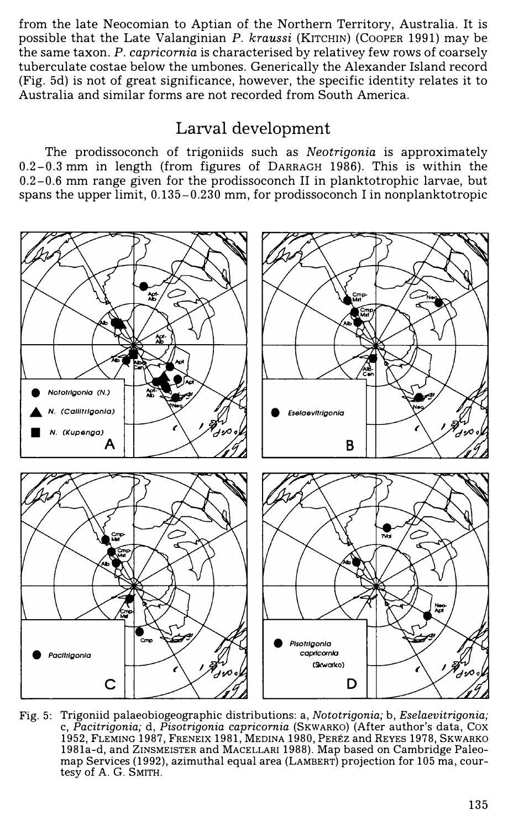from the late Neocomian to Aptian of the Northern Territory, Australia. It is possible that the Late Valanginian *P. kraussi* (KITCHIN) (COOPER 1991) may be the same taxon. *P. capricornia* is characterised by relativey few rows of coarsely tuberculate costae below the umbones. Generically the Alexander Island record (Fig. 5d) is not of great significance, however, the specific identity relates it to Australia and similar forms are not recorded from South America.

### **Larval development**

The prodissoconch of trigoniids such as *Neotrigonia* is approximately 0.2-0.3 mm in length (from figures of DARRAGH 1986). This is within the  $0.2-0.6$  mm range given for the prodissoconch II in planktotrophic larvae, but spans the upper limit, 0.135-0.230 mm, for prodissoconch I in nonplanktotropic



Fig. 5: Trigoniid palaeobiogeographic distributions: a, *Nototrigonia;* b, *Eselaevitrigonia;*  c, *Pacitrigonia;* d, *Pisotrigonia capricornia* (SKWARKO) (After author's data, Cox 1952, FLEMING 1987, FRENEIX 1981, MEDINA 1980, PEREZ and REYES 1978, SKWARKO 1981a-d, and ZINSMEISTER and MACELLARI 1988). Map based on Cambridge Paleomap Services (1992), azimuthal equal area (LAMBERT) projection for 105 ma, courtesy of A. G. SMITH.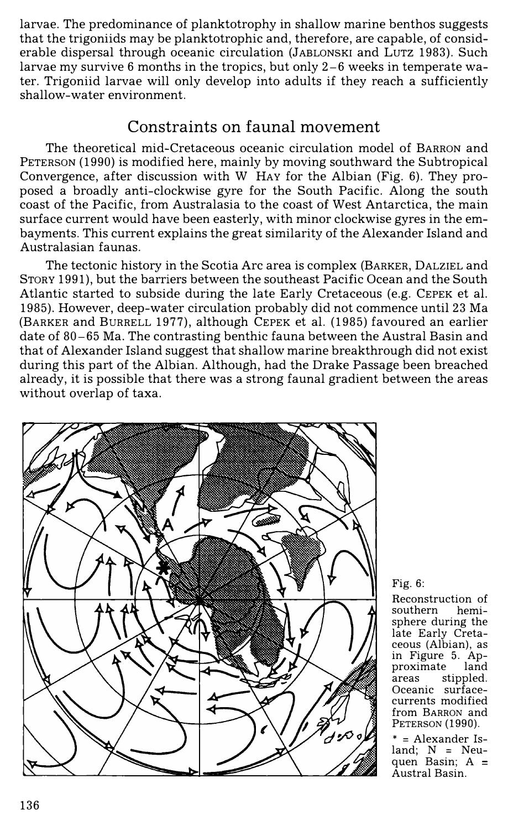larvae. The predominance of planktotrophy in shallow marine benthos suggests that the trigoniids may be planktotrophic and, therefore, are capable, of considerable dispersal through oceanic circulation (JABLONSKI and LUTZ 1983). Such larvae my survive 6 months in the tropics, but only  $2-6$  weeks in temperate water. Trigoniid larvae will only develop into adults if they reach a sufficiently shallow-water environment.

### **Constraints on faunal movement**

The theoretical mid-Cretaceous oceanic circulation model of BARRON and PETERSON (1990) is modified here, mainly by moving southward the Subtropical Convergence, after discussion with W HAY for the Albian (Fig. 6). They proposed a broadly anti-clockwise gyre for the South Pacific. Along the south coast of the Pacific, from Australasia to the coast of West Antarctica, the main surface current would have been easterly, with minor clockwise gyres in the embayments. This current explains the great similarity of the Alexander Island and Australasian faunas.

The tectonic history in the Scotia Arc area is complex (BARKER, DALZIEL and STORY 1991), but the barriers between the southeast Pacific Ocean and the South Atlantic started to subside during the late Early Cretaceous (e.g. CEPEK et al. 1985). However, deep-water circulation probably did not commence until 23 Ma (BARKER and BURRELL 1977), although CEPEK et al. (1985) favoured an earlier date of 80-65 Ma. The contrasting benthic fauna between the Austral Basin and that of Alexander Island suggest that shallow marine breakthrough did not exist during this part of the Albian. Although, had the Drake Passage been breached already, it is possible that there was a strong faunal gradient between the areas without overlap of taxa.



#### Fig. 6:

Reconstruction of<br>southern hemisouthern sphere during the late Early Cretaceous (Albian), as in Figure 5. Approximate areas stippled. Oceanic surfacecurrents modified from BARRON and PETERSON **(1990).** 

\* = Alexander Island;  $N = Neu$ quen Basin;  $A =$ Austral Basin.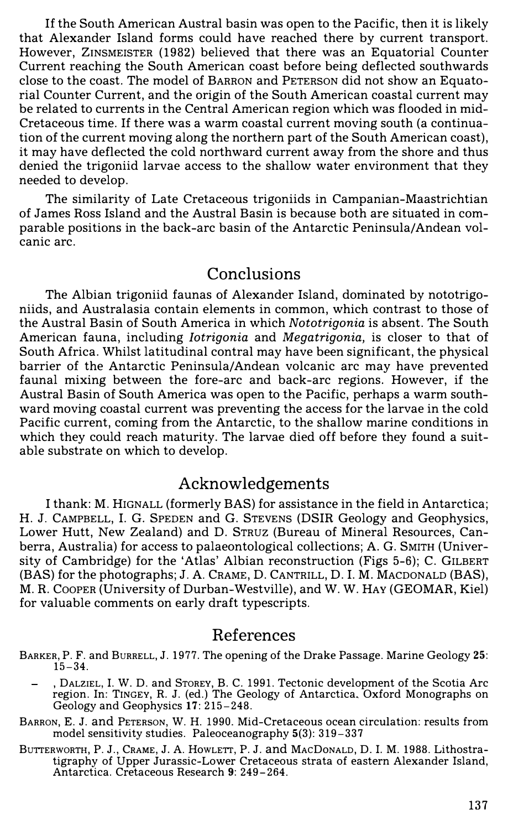If the South American Austral basin was open to the Pacific, then it is likely that Alexander Island forms could have reached there by current transport. However, ZINSMEISTER (1982) believed that there was an Equatorial Counter Current reaching the South American coast before being deflected southwards close to the coast. The model of BARRON and PETERSON did not show an Equatorial Counter Current, and the origin of the South American coastal current may be related to currents in the Central American region which was flooded in mid-Cretaceous time. If there was a warm coastal current moving south (a continuation of the current moving along the northern part of the South American coast), it may have deflected the cold northward current away from the shore and thus denied the trigoniid larvae access to the shallow water environment that they needed to develop.

The similarity of Late Cretaceous trigoniids in Campanian-Maastrichtian of James Ross Island and the Austral Basin is because both are situated in comparable positions in the back-arc basin of the Antarctic Peninsula/Andean volcanic arc.

# Conclusions

The Albian trigoniid faunas of Alexander Island, dominated by nototrigoniids, and Australasia contain elements in common, which contrast to those of the Austral Basin of South America in which *Nototrigonia* is absent. The South American fauna, including *Iotrigonia* and *Megatrigonia,* is closer to that of South Africa. Whilst latitudinal contral may have been significant, the physical barrier of the Antarctic Peninsula/ Andean volcanic arc may have prevented faunal mixing between the fore-arc and back-arc regions. However, if the Austral Basin of South America was open to the Pacific, perhaps a warm southward moving coastal current was preventing the access for the larvae in the cold Pacific current, coming from the Antarctic, to the shallow marine conditions in which they could reach maturity. The larvae died off before they found a suitable substrate on which to develop.

#### Acknowledgements

I thank: M. HIGNALL (formerly BAS) for assistance in the field in Antarctica; H. J. CAMPBELL, I. G. SPEDEN and G. STEVENS (DSIR Geology and Geophysics, Lower Hutt, New Zealand) and D. STRUZ (Bureau of Mineral Resources, Canberra, Australia) for access to palaeontological collections; A. G. SMITH (University of Cambridge) for the 'Atlas' Albian reconstruction (Figs 5-6); C. GILBERT (BAS) for the photographs; J. A. CRAME, D. CANTRILL, D. I. M. MACDONALD (BAS), M. R. COOPER (University of Durban-Westville), and W.W. HAY (GEOMAR, Kiel) for valuable comments on early draft typescripts.

# References

- BARKER, P. F. and BURRELL, J. 1977. The opening of the Drake Passage. Marine Geology 25: **15-34.**
	- , DALZIEL, I. W. D. and STOREY, B. C. 1991. Tectonic development of the Scotia Arc region. In: TINGEY, R. J. (ed.) The Geology of Antarctica. Oxford Monographs on Geology and Geophysics 17: **215-248.**
- BARRON, E. J. and PETERSON, W. H. 1990. Mid-Cretaceous ocean circulation: results from model sensitivity studies. Paleoceanography **5(3): 319-337**
- BuTTERWORTH, P. J., CRAME, J. A. HowLETT, P. J. and MAcDoNALD, D. I. M. **1988.** Lithostratigraphy of Upper Jurassic-Lower Cretaceous strata of eastern Alexander Island, Antarctica. Cretaceous Research 9: **249-264.**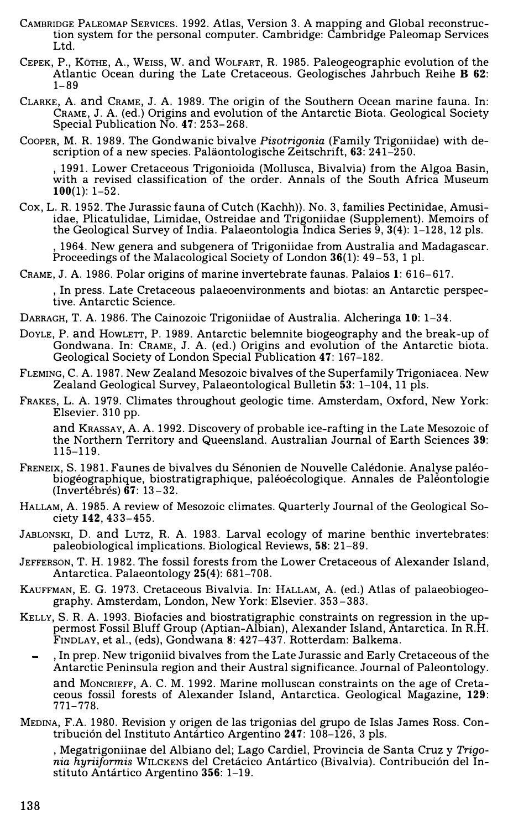- CAMBRIDGE PALEOMAP SERVICES. **1992.** Atlas, Version **3.** A mapping and Global reconstruction system for the personal computer. Cambridge: Cambridge Paleomap Services Ltd.
- CEPEK, P., KbTHE, A., WEISS, W. and WoLFART, **R. 1985.** Paleogeographic evolution of the Atlantic Ocean during the Late Cretaceous. Geologisches Jahrbuch Reihe B 62: **1-89**
- CLARKE, A. and CRAME, J. A. **1989.** The origin of the Southern Ocean marine fauna. In: CRAME, J. A. (ed.) Origins and evolution of the Antarctic Biota. Geological Society Special Publication No. **47: 253-268.**
- CooPER, M. R. **1989.** The Gondwanic bivalve *Pisotrigonia* (Family Trigoniidae) with description of a new species. Palaontologische Zeitschrift, **63: 241-250.**

**, 1991.** Lower Cretaceous Trigonioida (Mollusca, Bivalvia) from the Algoa Basin, with a revised classification of the order. Annals of the South Africa Museum **100(1): 1-52.** 

Cox, L. **R. 1952.** The Jurassic fauna of Cutch (Kachh)). No. **3,** families Pectinidae, Amusiidae, Plicatulidae, Limidae, Ostreidae and Trigoniidae (Supplement). Memoirs of the Geological Survey of India. Palaeontologia Indica Series **9, 3(4): 1-128, 12** pls.

**, 1964.** New genera and subgenera of Trigoniidae from Australia and Madagascar. Proceedings of the Malacological Society of London **36(1): 49-53, 1** pl.

CRAME, J. A. **1986.** Polar origins of marine invertebrate faunas. Palaios **1: 616-617.** 

In press. Late Cretaceous palaeoenvironments and biotas: an Antarctic perspective. Antarctic Science.

- DARRAGH, T. A. **1986.** The Cainozoic Trigoniidae of Australia. Alcheringa **10: 1-34.**
- DOYLE, P. and HOWLETT, P. **1989.** Antarctic belemnite biogeography and the break-up of Gondwana. In: CRAME, J. A. (ed.) Origins and evolution of the Antarctic biota. Geological Society of London Special Publication **47: 167-182.**
- FLEMING, C. A. **1987.** New Zealand Mesozoic bivalves of the Superfamily Trigoniacea. New Zealand Geological Survey, Palaeontological Bulletin **53: 1-104, 11** pls.
- FRAKES, L. A. **1979.** Climates throughout geologic time. Amsterdam, Oxford, New York: Elsevier. **310** pp.

and KRASSAY, A. A. **1992.** Discovery of probable ice-rafting in the Late Mesozoic of the Northern Territory and Queensland. Australian Journal of Earth Sciences **39: 115-119.**

- FRENEIX, S. **1981.** Faunes de bivalves du Senonien de Nouvelle Caledonie. Analyse paleobiogéographique, biostratigraphique, paléoécologique. Annales de Paléontologie (Invertebres) **67: 13-32.**
- HALLAM, A. **1985.** A review of Mesozoic climates. Quarterly Journal of the Geological Society **142, 433-455.**
- JABLONSKI, D. and LuTZ, **R.** A. **1983.** Larval ecology of marine benthic invertebrates: paleobiological implications. Biological Reviews, **58: 21-89.**
- JEFFERSON, T. H. **1982.** The fossil forests from the Lower Cretaceous of Alexander Island, Antarctica. Palaeontology **25(4): 681-708.**
- KAUFFMAN, **E.** G. **1973.** Cretaceous Bivalvia. In: HALLAM, A. (ed.) Atlas of palaeobiogeography. Amsterdam, London, New York: Elsevier. **353-383.**
- KELLY, S. **R.** A. **1993.** Biofacies and biostratigraphic constraints on regression in the uppermost Fossil Bluff Group (Aptian-Albian), Alexander Island, Antarctica. In R.H. FINDLAY, et al., (eds), Gondwana **8: 427-437.** Rotterdam: Balkema.
	- , In prep. New trigoniid bivalves from the Late Jurassic and Early Cretaceous of the Antarctic Peninsula region and their Austral significance. Journal of Paleontology. and MONCRIEFF, A. C. M. **1992.** Marine molluscan constraints on the age of Creta-

ceous fossil forests of Alexander Island, Antarctica. Geological Magazine, **129: 771-778.** 

MEDINA, F.A. **1980.** Revision y origen de las trigonias del grupo de Islas James Ross. Contribuci6n del Instituto Antartico Argentina **247: 108-126, 3** pls.

, Megatrigoniinae del Albiano del; Lago Cardiel, Provincia de Santa Cruz y *Trigonia hyriiformis* WILCKENS del Cretacico Antartico (Bivalvia). Contribuci6n del Instituto Antartico Argentina **356: 1-19.**